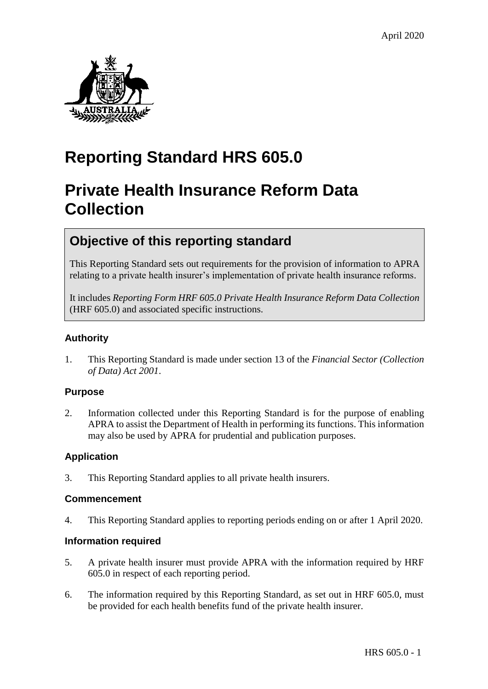

# **Reporting Standard HRS 605.0**

# **Private Health Insurance Reform Data Collection**

# **Objective of this reporting standard**

This Reporting Standard sets out requirements for the provision of information to APRA relating to a private health insurer's implementation of private health insurance reforms.

It includes *Reporting Form HRF 605.0 Private Health Insurance Reform Data Collection* (HRF 605.0) and associated specific instructions.

### **Authority**

1. This Reporting Standard is made under section 13 of the *Financial Sector (Collection of Data) Act 2001*.

#### **Purpose**

2. Information collected under this Reporting Standard is for the purpose of enabling APRA to assist the Department of Health in performing its functions. This information may also be used by APRA for prudential and publication purposes.

### **Application**

3. This Reporting Standard applies to all private health insurers.

#### **Commencement**

4. This Reporting Standard applies to reporting periods ending on or after 1 April 2020.

#### **Information required**

- 5. A private health insurer must provide APRA with the information required by HRF 605.0 in respect of each reporting period.
- 6. The information required by this Reporting Standard, as set out in HRF 605.0, must be provided for each health benefits fund of the private health insurer.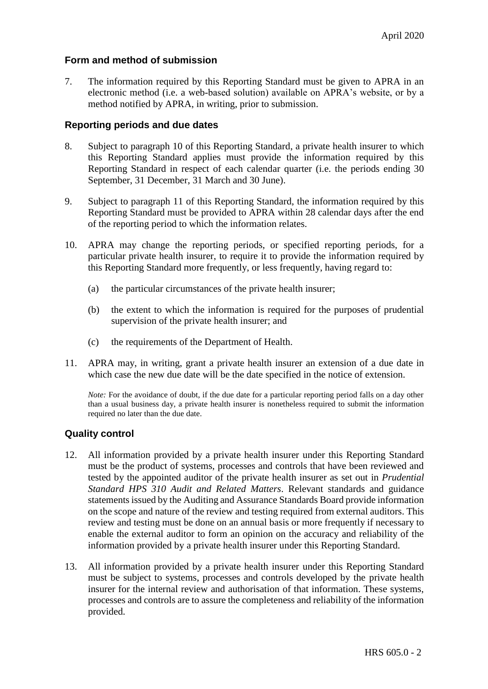#### **Form and method of submission**

7. The information required by this Reporting Standard must be given to APRA in an electronic method (i.e. a web-based solution) available on APRA's website, or by a method notified by APRA, in writing, prior to submission.

#### **Reporting periods and due dates**

- 8. Subject to paragraph 10 of this Reporting Standard, a private health insurer to which this Reporting Standard applies must provide the information required by this Reporting Standard in respect of each calendar quarter (i.e. the periods ending 30 September, 31 December, 31 March and 30 June).
- 9. Subject to paragraph 11 of this Reporting Standard, the information required by this Reporting Standard must be provided to APRA within 28 calendar days after the end of the reporting period to which the information relates.
- 10. APRA may change the reporting periods, or specified reporting periods, for a particular private health insurer, to require it to provide the information required by this Reporting Standard more frequently, or less frequently, having regard to:
	- (a) the particular circumstances of the private health insurer;
	- (b) the extent to which the information is required for the purposes of prudential supervision of the private health insurer; and
	- (c) the requirements of the Department of Health.
- 11. APRA may, in writing, grant a private health insurer an extension of a due date in which case the new due date will be the date specified in the notice of extension.

*Note:* For the avoidance of doubt, if the due date for a particular reporting period falls on a day other than a usual business day, a private health insurer is nonetheless required to submit the information required no later than the due date.

#### **Quality control**

- 12. All information provided by a private health insurer under this Reporting Standard must be the product of systems, processes and controls that have been reviewed and tested by the appointed auditor of the private health insurer as set out in *Prudential Standard HPS 310 Audit and Related Matters*. Relevant standards and guidance statements issued by the Auditing and Assurance Standards Board provide information on the scope and nature of the review and testing required from external auditors. This review and testing must be done on an annual basis or more frequently if necessary to enable the external auditor to form an opinion on the accuracy and reliability of the information provided by a private health insurer under this Reporting Standard.
- 13. All information provided by a private health insurer under this Reporting Standard must be subject to systems, processes and controls developed by the private health insurer for the internal review and authorisation of that information. These systems, processes and controls are to assure the completeness and reliability of the information provided.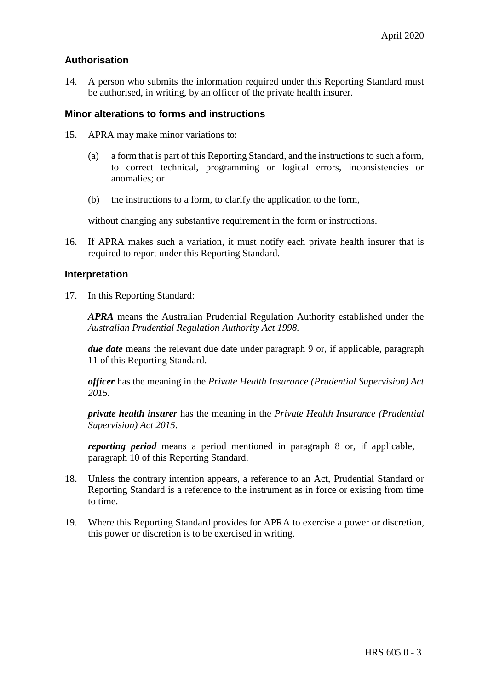#### **Authorisation**

14. A person who submits the information required under this Reporting Standard must be authorised, in writing, by an officer of the private health insurer.

#### **Minor alterations to forms and instructions**

- 15. APRA may make minor variations to:
	- (a) a form that is part of this Reporting Standard, and the instructions to such a form, to correct technical, programming or logical errors, inconsistencies or anomalies; or
	- (b) the instructions to a form, to clarify the application to the form,

without changing any substantive requirement in the form or instructions.

16. If APRA makes such a variation, it must notify each private health insurer that is required to report under this Reporting Standard.

#### **Interpretation**

17. In this Reporting Standard:

*APRA* means the Australian Prudential Regulation Authority established under the *Australian Prudential Regulation Authority Act 1998.*

*due date* means the relevant due date under paragraph 9 or, if applicable, paragraph 11 of this Reporting Standard.

*officer* has the meaning in the *Private Health Insurance (Prudential Supervision) Act 2015.*

*private health insurer* has the meaning in the *Private Health Insurance (Prudential Supervision) Act 2015*.

*reporting period* means a period mentioned in paragraph 8 or, if applicable, paragraph 10 of this Reporting Standard.

- 18. Unless the contrary intention appears, a reference to an Act, Prudential Standard or Reporting Standard is a reference to the instrument as in force or existing from time to time.
- 19. Where this Reporting Standard provides for APRA to exercise a power or discretion, this power or discretion is to be exercised in writing.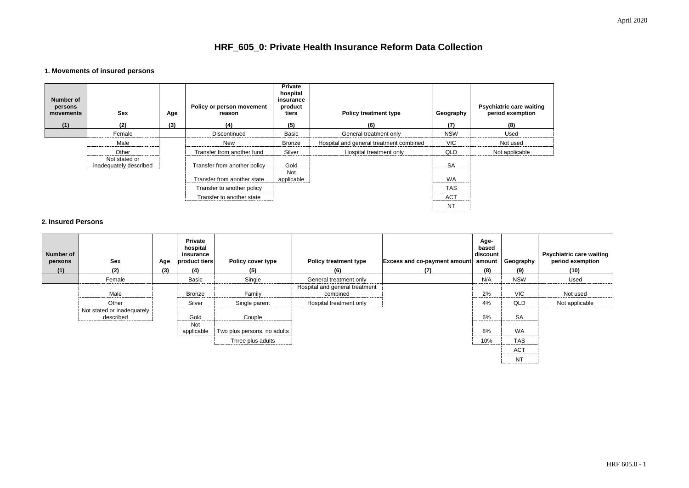| e waiting<br>iption |
|---------------------|
|                     |
| d                   |
| able                |

# **HRF\_605\_0: Private Health Insurance Reform Data Collection**

## **1. Movements of insured persons**

| <b>Number of</b><br>persons<br>movements<br>(1) | <b>Sex</b><br>(2)                       | Age<br>(3) | <b>Policy or person movement</b><br>reason<br>(4) | <b>Private</b><br>hospital<br>insurance<br>product<br>tiers<br>(5) | <b>Policy treatment type</b><br>(6)     | Geography<br>(7)                        | Psychiatric care waiting<br>period exemption<br>(8) |
|-------------------------------------------------|-----------------------------------------|------------|---------------------------------------------------|--------------------------------------------------------------------|-----------------------------------------|-----------------------------------------|-----------------------------------------------------|
|                                                 | Female                                  |            | Discontinued                                      | <b>Basic</b>                                                       | General treatment only                  | <b>NSW</b>                              | Used                                                |
|                                                 | Male                                    |            | New                                               | <b>Bronze</b>                                                      | Hospital and general treatment combined | <b>VIC</b>                              | Not used                                            |
|                                                 | Other                                   |            | Transfer from another fund                        | Silver                                                             | Hospital treatment only                 | QLD                                     | Not applicable                                      |
|                                                 | Not stated or<br>inadequately described |            | Transfer from another policy                      | Gold                                                               |                                         | <b>SA</b><br>-------------------------- |                                                     |
|                                                 |                                         |            | Transfer from another state                       | <b>Not</b><br>applicable                                           |                                         | <b>WA</b>                               |                                                     |
|                                                 |                                         |            | Transfer to another policy                        |                                                                    |                                         | <b>TAS</b><br>--------------            |                                                     |
|                                                 |                                         |            | Transfer to another state                         |                                                                    |                                         | <b>ACT</b>                              |                                                     |
|                                                 |                                         |            |                                                   |                                                                    |                                         | N1                                      |                                                     |

### **2. Insured Persons**

| <b>Number of</b><br>persons<br>(1) | <b>Sex</b><br>(2)                       | Age<br>(3) | <b>Private</b><br>hospital<br>insurance<br>product tiers<br>(4) | <b>Policy cover type</b><br>(5) | <b>Policy treatment type</b><br>(6)        | <b>Excess and co-payment amount</b><br>(7) | Age-<br>based<br>discount<br>amount<br>(8) | Geography<br>(9)                         | Psychiatric care waiting<br>period exemption<br>(10) |
|------------------------------------|-----------------------------------------|------------|-----------------------------------------------------------------|---------------------------------|--------------------------------------------|--------------------------------------------|--------------------------------------------|------------------------------------------|------------------------------------------------------|
|                                    | Female                                  |            | <b>Basic</b>                                                    | Single                          | General treatment only                     |                                            | N/A                                        | <b>NSW</b>                               | Used                                                 |
|                                    | Male                                    |            | <b>Bronze</b>                                                   | Family                          | Hospital and general treatment<br>combined |                                            | 2%                                         | <b>VIC</b>                               | Not used                                             |
|                                    |                                         |            |                                                                 |                                 |                                            |                                            |                                            |                                          |                                                      |
|                                    | Other                                   |            | Silver                                                          | Single parent                   | Hospital treatment only                    |                                            | 4%<br>                                     | QLD                                      | Not applicable                                       |
|                                    | Not stated or inadequately<br>described |            | Gold<br>-----------------------------                           | Couple                          |                                            |                                            | 6%                                         | <b>SA</b><br>--------------------------- |                                                      |
|                                    |                                         |            | <b>Not</b><br>applicable                                        | Two plus persons, no adults     |                                            |                                            | 8%<br>                                     | WA<br>----------------------------       |                                                      |
|                                    |                                         |            |                                                                 | Three plus adults               |                                            |                                            | 10%                                        | <b>TAS</b>                               |                                                      |
|                                    |                                         |            |                                                                 |                                 |                                            |                                            |                                            | <b>ACT</b>                               |                                                      |
|                                    |                                         |            |                                                                 |                                 |                                            |                                            |                                            | N <sub>T</sub>                           |                                                      |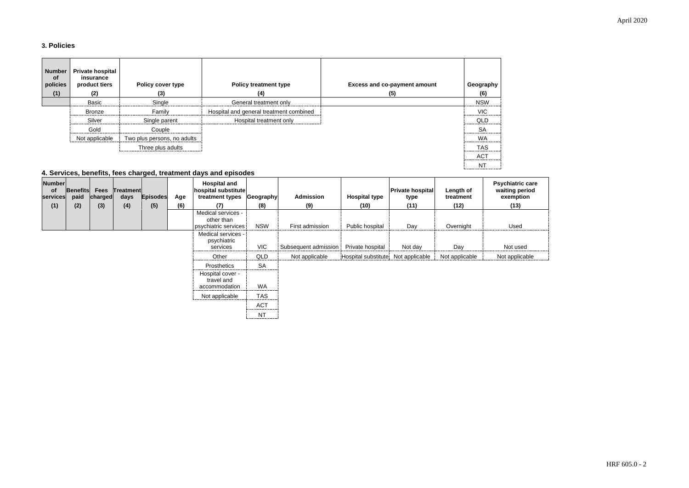## April 2020

## **3. Policies**

| <b>Number</b><br>of<br>policies<br>(1) | <b>Private hospital</b><br>insurance<br>product tiers<br>(2) | <b>Policy cover type</b><br>(3) | <b>Policy treatment type</b><br>(4)     | <b>Excess and co-payment amount</b><br>(5) | Geography<br>(6) |
|----------------------------------------|--------------------------------------------------------------|---------------------------------|-----------------------------------------|--------------------------------------------|------------------|
|                                        | <b>Basic</b>                                                 | Single                          | General treatment only                  |                                            | <b>NSW</b>       |
|                                        | <b>Bronze</b>                                                | Family                          | Hospital and general treatment combined |                                            | <b>VIC</b>       |
|                                        | Silver                                                       | Single parent                   | Hospital treatment only                 |                                            | QLD              |
|                                        | Gold                                                         | Couple                          |                                         |                                            | <b>SA</b>        |
|                                        | Not applicable                                               | Two plus persons, no adults     |                                         |                                            | WA<br>           |
|                                        |                                                              | Three plus adults               |                                         |                                            | <b>TAS</b>       |
|                                        |                                                              |                                 |                                         |                                            | <b>ACT</b>       |
|                                        |                                                              |                                 |                                         |                                            | NΊ               |

### **4. Services, benefits, fees charged, treatment days and episodes**



| <b>Number</b><br>of<br>services | Benefits<br>paid | <b>Fees</b><br>charged | Treatment<br>days | <b>Episodes</b> | Age | <b>Hospital and</b><br>hospital substitute<br>treatment types | Geography  | <b>Admission</b>     | <b>Hospital type</b>               | <b>Private hospital</b><br>type | Length of<br>treatment | <b>Psychiatric care</b><br>waiting period<br>exemption |
|---------------------------------|------------------|------------------------|-------------------|-----------------|-----|---------------------------------------------------------------|------------|----------------------|------------------------------------|---------------------------------|------------------------|--------------------------------------------------------|
| (1)                             | (2)              | (3)                    | (4)               | (5)             | (6) | (7)                                                           | (8)        | (9)                  | (10)                               | (11)                            | (12)                   | (13)                                                   |
|                                 |                  |                        |                   |                 |     | Medical services -<br>other than<br>psychiatric services      | <b>NSW</b> | First admission      | Public hospital                    | Day                             | Overnight              | Used                                                   |
|                                 |                  |                        |                   |                 |     | Medical services -<br>psychiatric<br>services                 | VIC        | Subsequent admission | Private hospital                   | Not day                         | Day                    | Not used                                               |
|                                 |                  |                        |                   |                 |     | Other                                                         | QLD        | Not applicable       | Hospital substitute Not applicable |                                 | Not applicable         | Not applicable                                         |
|                                 |                  |                        |                   |                 |     | Prosthetics                                                   | <b>SA</b>  |                      |                                    |                                 |                        |                                                        |
|                                 |                  |                        |                   |                 |     | Hospital cover -<br>travel and<br>accommodation               | <b>WA</b>  |                      |                                    |                                 |                        |                                                        |
|                                 |                  |                        |                   |                 |     | Not applicable                                                | <b>TAS</b> |                      |                                    |                                 |                        |                                                        |
|                                 |                  |                        |                   |                 |     |                                                               | <b>ACT</b> |                      |                                    |                                 |                        |                                                        |
|                                 |                  |                        |                   |                 |     |                                                               | <b>NT</b>  |                      |                                    |                                 |                        |                                                        |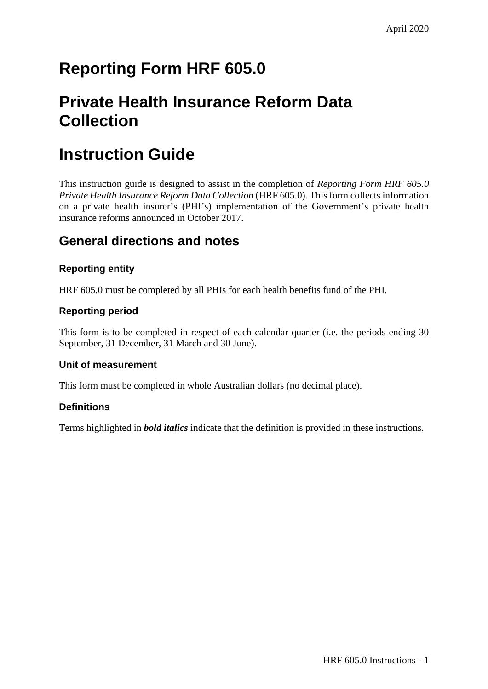# **Reporting Form HRF 605.0**

# **Private Health Insurance Reform Data Collection**

# **Instruction Guide**

This instruction guide is designed to assist in the completion of *Reporting Form HRF 605.0 Private Health Insurance Reform Data Collection* (HRF 605.0). This form collects information on a private health insurer's (PHI's) implementation of the Government's private health insurance reforms announced in October 2017.

# **General directions and notes**

## **Reporting entity**

HRF 605.0 must be completed by all PHIs for each health benefits fund of the PHI.

### **Reporting period**

This form is to be completed in respect of each calendar quarter (i.e. the periods ending 30 September, 31 December, 31 March and 30 June).

### **Unit of measurement**

This form must be completed in whole Australian dollars (no decimal place).

### **Definitions**

Terms highlighted in *bold italics* indicate that the definition is provided in these instructions.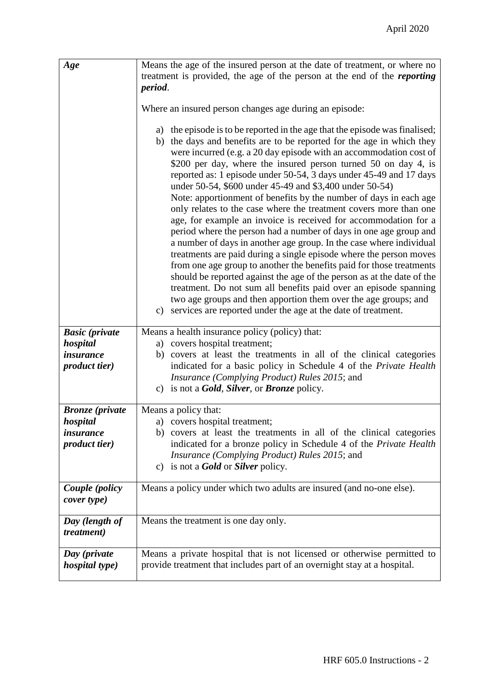| Age                                       | Means the age of the insured person at the date of treatment, or where no<br>treatment is provided, the age of the person at the end of the <i>reporting</i><br>period.                                                                                                                                                                                                                                                                                                                                                                                                                                                                                                                                                                                                                                                                                                                                                                                                                                                                                                                                                                                                                                                      |
|-------------------------------------------|------------------------------------------------------------------------------------------------------------------------------------------------------------------------------------------------------------------------------------------------------------------------------------------------------------------------------------------------------------------------------------------------------------------------------------------------------------------------------------------------------------------------------------------------------------------------------------------------------------------------------------------------------------------------------------------------------------------------------------------------------------------------------------------------------------------------------------------------------------------------------------------------------------------------------------------------------------------------------------------------------------------------------------------------------------------------------------------------------------------------------------------------------------------------------------------------------------------------------|
|                                           | Where an insured person changes age during an episode:                                                                                                                                                                                                                                                                                                                                                                                                                                                                                                                                                                                                                                                                                                                                                                                                                                                                                                                                                                                                                                                                                                                                                                       |
|                                           | a) the episode is to be reported in the age that the episode was finalised;<br>b) the days and benefits are to be reported for the age in which they<br>were incurred (e.g. a 20 day episode with an accommodation cost of<br>\$200 per day, where the insured person turned 50 on day 4, is<br>reported as: 1 episode under 50-54, 3 days under 45-49 and 17 days<br>under 50-54, \$600 under 45-49 and \$3,400 under 50-54)<br>Note: apportionment of benefits by the number of days in each age<br>only relates to the case where the treatment covers more than one<br>age, for example an invoice is received for accommodation for a<br>period where the person had a number of days in one age group and<br>a number of days in another age group. In the case where individual<br>treatments are paid during a single episode where the person moves<br>from one age group to another the benefits paid for those treatments<br>should be reported against the age of the person as at the date of the<br>treatment. Do not sum all benefits paid over an episode spanning<br>two age groups and then apportion them over the age groups; and<br>services are reported under the age at the date of treatment.<br>c) |
| <b>Basic</b> (private<br>hospital         | Means a health insurance policy (policy) that:<br>a) covers hospital treatment;                                                                                                                                                                                                                                                                                                                                                                                                                                                                                                                                                                                                                                                                                                                                                                                                                                                                                                                                                                                                                                                                                                                                              |
| <i>insurance</i><br><i>product tier</i> ) | covers at least the treatments in all of the clinical categories<br>b)<br>indicated for a basic policy in Schedule 4 of the Private Health<br>Insurance (Complying Product) Rules 2015; and<br>c) is not a <b>Gold</b> , <b>Silver</b> , or <b>Bronze</b> policy.                                                                                                                                                                                                                                                                                                                                                                                                                                                                                                                                                                                                                                                                                                                                                                                                                                                                                                                                                            |
| <b>Bronze</b> (private                    | Means a policy that:                                                                                                                                                                                                                                                                                                                                                                                                                                                                                                                                                                                                                                                                                                                                                                                                                                                                                                                                                                                                                                                                                                                                                                                                         |
| hospital<br><i>insurance</i>              | a) covers hospital treatment;<br>b) covers at least the treatments in all of the clinical categories                                                                                                                                                                                                                                                                                                                                                                                                                                                                                                                                                                                                                                                                                                                                                                                                                                                                                                                                                                                                                                                                                                                         |
| <i>product tier</i> )                     | indicated for a bronze policy in Schedule 4 of the Private Health                                                                                                                                                                                                                                                                                                                                                                                                                                                                                                                                                                                                                                                                                                                                                                                                                                                                                                                                                                                                                                                                                                                                                            |
|                                           | <i>Insurance (Complying Product) Rules 2015; and</i><br>c) is not a <b>Gold</b> or <b>Silver</b> policy.                                                                                                                                                                                                                                                                                                                                                                                                                                                                                                                                                                                                                                                                                                                                                                                                                                                                                                                                                                                                                                                                                                                     |
| Couple (policy<br>cover type)             | Means a policy under which two adults are insured (and no-one else).                                                                                                                                                                                                                                                                                                                                                                                                                                                                                                                                                                                                                                                                                                                                                                                                                                                                                                                                                                                                                                                                                                                                                         |
| Day (length of<br><i>treatment</i> )      | Means the treatment is one day only.                                                                                                                                                                                                                                                                                                                                                                                                                                                                                                                                                                                                                                                                                                                                                                                                                                                                                                                                                                                                                                                                                                                                                                                         |
| Day (private<br><i>hospital type)</i>     | Means a private hospital that is not licensed or otherwise permitted to<br>provide treatment that includes part of an overnight stay at a hospital.                                                                                                                                                                                                                                                                                                                                                                                                                                                                                                                                                                                                                                                                                                                                                                                                                                                                                                                                                                                                                                                                          |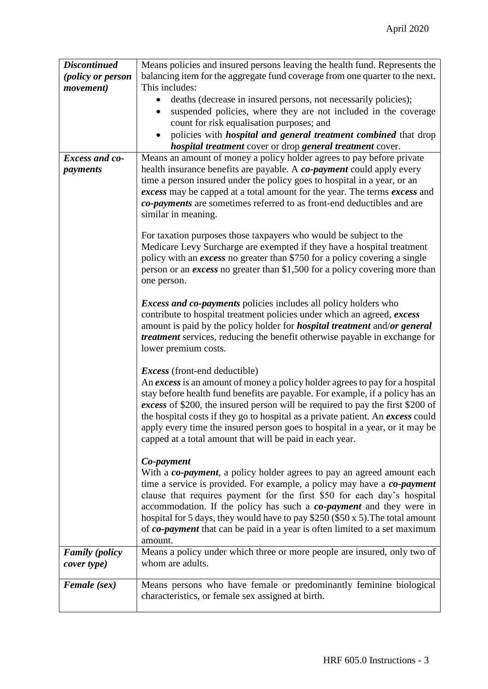| <b>Discontinued</b>   | Means policies and insured persons leaving the health fund. Represents the            |
|-----------------------|---------------------------------------------------------------------------------------|
| (policy or person     | balancing item for the aggregate fund coverage from one quarter to the next.          |
| <i>movement</i> )     | This includes:                                                                        |
|                       | deaths (decrease in insured persons, not necessarily policies);                       |
|                       | suspended policies, where they are not included in the coverage<br>$\bullet$          |
|                       | count for risk equalisation purposes; and                                             |
|                       | policies with <i>hospital and general treatment combined</i> that drop                |
|                       | <i>hospital treatment</i> cover or drop <i>general treatment</i> cover.               |
| Excess and co-        | Means an amount of money a policy holder agrees to pay before private                 |
| payments              | health insurance benefits are payable. A co-payment could apply every                 |
|                       | time a person insured under the policy goes to hospital in a year, or an              |
|                       | excess may be capped at a total amount for the year. The terms excess and             |
|                       | co-payments are sometimes referred to as front-end deductibles and are                |
|                       | similar in meaning.                                                                   |
|                       | For taxation purposes those taxpayers who would be subject to the                     |
|                       | Medicare Levy Surcharge are exempted if they have a hospital treatment                |
|                       | policy with an <i>excess</i> no greater than \$750 for a policy covering a single     |
|                       | person or an <i>excess</i> no greater than \$1,500 for a policy covering more than    |
|                       | one person.                                                                           |
|                       |                                                                                       |
|                       | <i>Excess and co-payments</i> policies includes all policy holders who                |
|                       | contribute to hospital treatment policies under which an agreed, excess               |
|                       | amount is paid by the policy holder for <i>hospital treatment</i> and/or general      |
|                       | <i>treatment</i> services, reducing the benefit otherwise payable in exchange for     |
|                       | lower premium costs.                                                                  |
|                       | <i>Excess</i> (front-end deductible)                                                  |
|                       | An excess is an amount of money a policy holder agrees to pay for a hospital          |
|                       | stay before health fund benefits are payable. For example, if a policy has an         |
|                       | excess of \$200, the insured person will be required to pay the first \$200 of        |
|                       | the hospital costs if they go to hospital as a private patient. An excess could       |
|                       | apply every time the insured person goes to hospital in a year, or it may be          |
|                       | capped at a total amount that will be paid in each year.                              |
|                       |                                                                                       |
|                       | Co-payment                                                                            |
|                       | With a <i>co-payment</i> , a policy holder agrees to pay an agreed amount each        |
|                       | time a service is provided. For example, a policy may have a co-payment               |
|                       | clause that requires payment for the first \$50 for each day's hospital               |
|                       | accommodation. If the policy has such a co-payment and they were in                   |
|                       | hospital for 5 days, they would have to pay \$250 (\$50 x 5). The total amount        |
|                       | of co-payment that can be paid in a year is often limited to a set maximum<br>amount. |
| <b>Family</b> (policy | Means a policy under which three or more people are insured, only two of              |
| cover type)           | whom are adults.                                                                      |
|                       |                                                                                       |
| <b>Female</b> (sex)   | Means persons who have female or predominantly feminine biological                    |
|                       | characteristics, or female sex assigned at birth.                                     |
|                       |                                                                                       |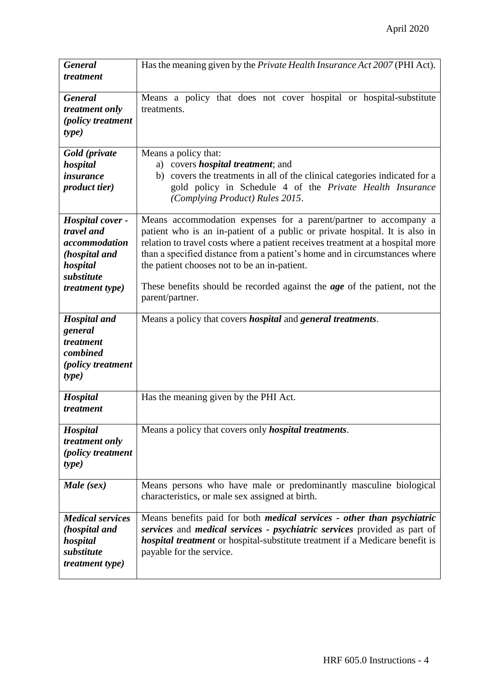| <b>General</b>                                                                                                | Has the meaning given by the <i>Private Health Insurance Act 2007</i> (PHI Act).                                                                                                                                                                                                                                                                                                                                                                                       |
|---------------------------------------------------------------------------------------------------------------|------------------------------------------------------------------------------------------------------------------------------------------------------------------------------------------------------------------------------------------------------------------------------------------------------------------------------------------------------------------------------------------------------------------------------------------------------------------------|
| treatment                                                                                                     |                                                                                                                                                                                                                                                                                                                                                                                                                                                                        |
| <b>General</b><br>treatment only<br>(policy treatment<br>type)                                                | Means a policy that does not cover hospital or hospital-substitute<br>treatments.                                                                                                                                                                                                                                                                                                                                                                                      |
| Gold (private<br>hospital<br><i>insurance</i><br><i>product tier</i> )                                        | Means a policy that:<br>a) covers <i>hospital treatment</i> ; and<br>b) covers the treatments in all of the clinical categories indicated for a<br>gold policy in Schedule 4 of the Private Health Insurance<br>(Complying Product) Rules 2015.                                                                                                                                                                                                                        |
| Hospital cover -<br>travel and<br>accommodation<br>(hospital and<br>hospital<br>substitute<br>treatment type) | Means accommodation expenses for a parent/partner to accompany a<br>patient who is an in-patient of a public or private hospital. It is also in<br>relation to travel costs where a patient receives treatment at a hospital more<br>than a specified distance from a patient's home and in circumstances where<br>the patient chooses not to be an in-patient.<br>These benefits should be recorded against the <b>age</b> of the patient, not the<br>parent/partner. |
| <b>Hospital</b> and<br>general<br>treatment<br>combined<br><i>(policy treatment</i> )<br><i>type</i> )        | Means a policy that covers <i>hospital</i> and <i>general treatments</i> .                                                                                                                                                                                                                                                                                                                                                                                             |
| Hospital<br>treatment                                                                                         | Has the meaning given by the PHI Act.                                                                                                                                                                                                                                                                                                                                                                                                                                  |
| Hospital<br>treatment only<br><i>(policy treatment</i> )<br><i>type</i> )                                     | Means a policy that covers only <i>hospital treatments</i> .                                                                                                                                                                                                                                                                                                                                                                                                           |
| Male (sex)                                                                                                    | Means persons who have male or predominantly masculine biological<br>characteristics, or male sex assigned at birth.                                                                                                                                                                                                                                                                                                                                                   |
| <b>Medical services</b><br>(hospital and<br>hospital<br>substitute<br><i>treatment type)</i>                  | Means benefits paid for both <i>medical services - other than psychiatric</i><br>services and <i>medical services - psychiatric services</i> provided as part of<br><i>hospital treatment</i> or hospital-substitute treatment if a Medicare benefit is<br>payable for the service.                                                                                                                                                                                    |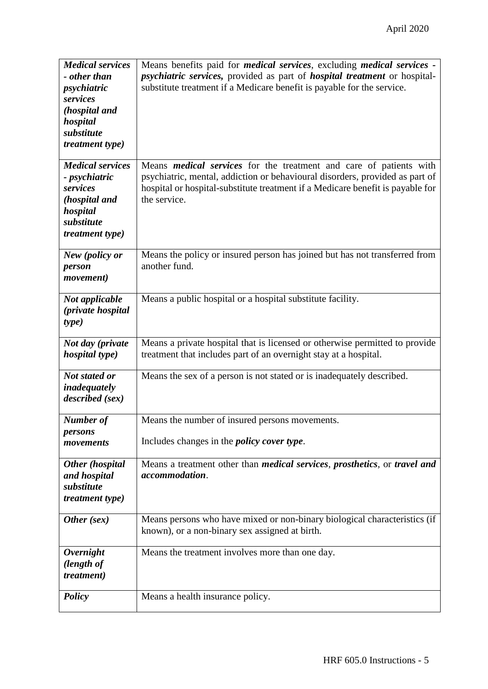| <b>Medical services</b>                   | Means benefits paid for <i>medical services</i> , excluding <i>medical services</i> -            |
|-------------------------------------------|--------------------------------------------------------------------------------------------------|
| - other than                              | psychiatric services, provided as part of hospital treatment or hospital-                        |
| psychiatric                               | substitute treatment if a Medicare benefit is payable for the service.                           |
| services                                  |                                                                                                  |
| (hospital and                             |                                                                                                  |
| hospital<br>substitute                    |                                                                                                  |
| <i>treatment type)</i>                    |                                                                                                  |
|                                           |                                                                                                  |
| <b>Medical services</b>                   | Means <i>medical services</i> for the treatment and care of patients with                        |
| - psychiatric                             | psychiatric, mental, addiction or behavioural disorders, provided as part of                     |
| services                                  | hospital or hospital-substitute treatment if a Medicare benefit is payable for                   |
| (hospital and                             | the service.                                                                                     |
| hospital                                  |                                                                                                  |
| substitute                                |                                                                                                  |
| <i>treatment type)</i>                    |                                                                                                  |
| New (policy or                            | Means the policy or insured person has joined but has not transferred from                       |
| person                                    | another fund.                                                                                    |
| <i>movement</i> )                         |                                                                                                  |
|                                           |                                                                                                  |
| Not applicable                            | Means a public hospital or a hospital substitute facility.                                       |
| (private hospital                         |                                                                                                  |
| type)                                     |                                                                                                  |
|                                           | Means a private hospital that is licensed or otherwise permitted to provide                      |
| Not day (private<br><i>hospital type)</i> | treatment that includes part of an overnight stay at a hospital.                                 |
|                                           |                                                                                                  |
| Not stated or                             | Means the sex of a person is not stated or is inadequately described.                            |
| inadequately                              |                                                                                                  |
| described (sex)                           |                                                                                                  |
|                                           |                                                                                                  |
| Number of<br>persons                      | Means the number of insured persons movements.                                                   |
| movements                                 | Includes changes in the <i>policy cover type</i> .                                               |
|                                           |                                                                                                  |
| <b>Other</b> (hospital                    | Means a treatment other than <i>medical services</i> , <i>prosthetics</i> , or <i>travel and</i> |
| and hospital                              | accommodation.                                                                                   |
| substitute                                |                                                                                                  |
| <i>treatment type)</i>                    |                                                                                                  |
|                                           |                                                                                                  |
| Other (sex)                               | Means persons who have mixed or non-binary biological characteristics (if                        |
|                                           | known), or a non-binary sex assigned at birth.                                                   |
| <b>Overnight</b>                          | Means the treatment involves more than one day.                                                  |
| (length of                                |                                                                                                  |
| <i>treatment</i> )                        |                                                                                                  |
|                                           |                                                                                                  |
| <b>Policy</b>                             | Means a health insurance policy.                                                                 |
|                                           |                                                                                                  |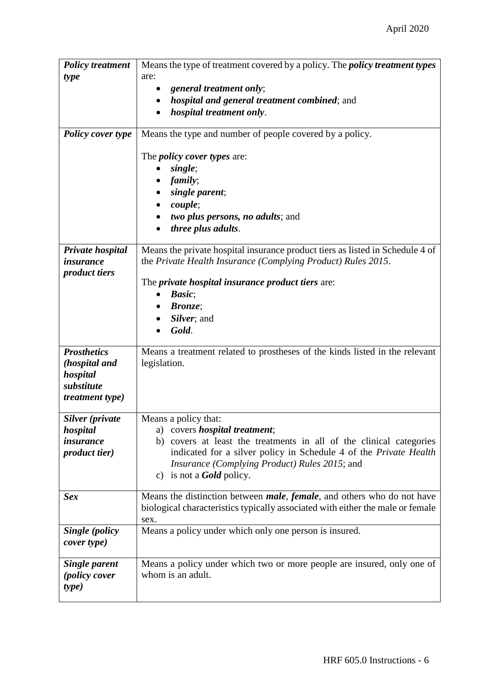| <b>Policy treatment</b>   | Means the type of treatment covered by a policy. The <i>policy treatment types</i>     |
|---------------------------|----------------------------------------------------------------------------------------|
| type                      | are:                                                                                   |
|                           | general treatment only;<br>$\bullet$                                                   |
|                           | <i>hospital and general treatment combined; and</i>                                    |
|                           | hospital treatment only.                                                               |
|                           |                                                                                        |
| <b>Policy cover type</b>  | Means the type and number of people covered by a policy.                               |
|                           |                                                                                        |
|                           | The <i>policy cover types</i> are:                                                     |
|                           | single;                                                                                |
|                           | family;                                                                                |
|                           | single parent;                                                                         |
|                           | <i>couple</i> ;                                                                        |
|                           | two plus persons, no adults; and                                                       |
|                           | three plus adults.                                                                     |
|                           |                                                                                        |
| Private hospital          | Means the private hospital insurance product tiers as listed in Schedule 4 of          |
| <i>insurance</i>          | the Private Health Insurance (Complying Product) Rules 2015.                           |
| <i>product tiers</i>      |                                                                                        |
|                           | The <i>private hospital insurance product tiers</i> are:                               |
|                           | <b>Basic</b> ;<br>$\bullet$                                                            |
|                           | <b>Bronze</b> ;                                                                        |
|                           | Silver; and                                                                            |
|                           | Gold.                                                                                  |
| <b>Prosthetics</b>        |                                                                                        |
|                           | Means a treatment related to prostheses of the kinds listed in the relevant            |
| (hospital and<br>hospital | legislation.                                                                           |
| substitute                |                                                                                        |
| <i>treatment type)</i>    |                                                                                        |
|                           |                                                                                        |
| Silver (private           | Means a policy that:                                                                   |
| hospital                  | a) covers <i>hospital treatment</i> ;                                                  |
| <i>insurance</i>          | b) covers at least the treatments in all of the clinical categories                    |
| <i>product tier</i> )     | indicated for a silver policy in Schedule 4 of the Private Health                      |
|                           | <i>Insurance (Complying Product) Rules 2015; and</i>                                   |
|                           | c) is not a <b>Gold</b> policy.                                                        |
|                           |                                                                                        |
| <b>Sex</b>                | Means the distinction between <i>male</i> , <i>female</i> , and others who do not have |
|                           | biological characteristics typically associated with either the male or female         |
|                           | sex.                                                                                   |
| Single (policy            | Means a policy under which only one person is insured.                                 |
| cover type)               |                                                                                        |
|                           |                                                                                        |
| <b>Single parent</b>      | Means a policy under which two or more people are insured, only one of                 |
| <i>(policy cover</i>      | whom is an adult.                                                                      |
| type)                     |                                                                                        |
|                           |                                                                                        |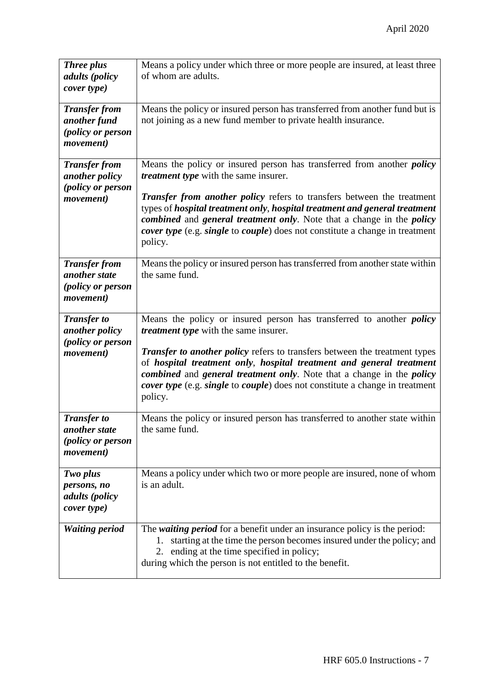| <b>Three plus</b><br>adults (policy<br>cover type)                                   | Means a policy under which three or more people are insured, at least three<br>of whom are adults.                                                                                                                                                                                                                                                    |
|--------------------------------------------------------------------------------------|-------------------------------------------------------------------------------------------------------------------------------------------------------------------------------------------------------------------------------------------------------------------------------------------------------------------------------------------------------|
| <b>Transfer from</b><br>another fund<br>(policy or person<br>movement)               | Means the policy or insured person has transferred from another fund but is<br>not joining as a new fund member to private health insurance.                                                                                                                                                                                                          |
| <b>Transfer from</b><br>another policy                                               | Means the policy or insured person has transferred from another <i>policy</i><br><i>treatment type</i> with the same insurer.                                                                                                                                                                                                                         |
| (policy or person<br>movement)                                                       | <b>Transfer from another policy refers to transfers between the treatment</b><br>types of hospital treatment only, hospital treatment and general treatment<br>combined and general treatment only. Note that a change in the policy<br><i>cover type</i> (e.g. <i>single</i> to <i>couple</i> ) does not constitute a change in treatment<br>policy. |
| <b>Transfer from</b><br>another state<br>(policy or person<br><i>movement</i> )      | Means the policy or insured person has transferred from another state within<br>the same fund.                                                                                                                                                                                                                                                        |
| <b>Transfer to</b><br>another policy<br>(policy or person                            | Means the policy or insured person has transferred to another <i>policy</i><br><i>treatment type</i> with the same insurer.                                                                                                                                                                                                                           |
| movement)                                                                            | <b>Transfer to another policy refers to transfers between the treatment types</b><br>of hospital treatment only, hospital treatment and general treatment<br>combined and general treatment only. Note that a change in the policy<br><i>cover type</i> (e.g. <i>single</i> to <i>couple</i> ) does not constitute a change in treatment<br>policy.   |
| <b>Transfer to</b><br>another state<br><i>(policy or person</i><br><i>movement</i> ) | Means the policy or insured person has transferred to another state within<br>the same fund.                                                                                                                                                                                                                                                          |
| Two plus<br>persons, no<br><i>adults</i> ( <i>policy</i><br>cover type)              | Means a policy under which two or more people are insured, none of whom<br>is an adult.                                                                                                                                                                                                                                                               |
| <b>Waiting period</b>                                                                | The <i>waiting period</i> for a benefit under an insurance policy is the period:<br>starting at the time the person becomes insured under the policy; and<br>1.<br>ending at the time specified in policy;<br>2.<br>during which the person is not entitled to the benefit.                                                                           |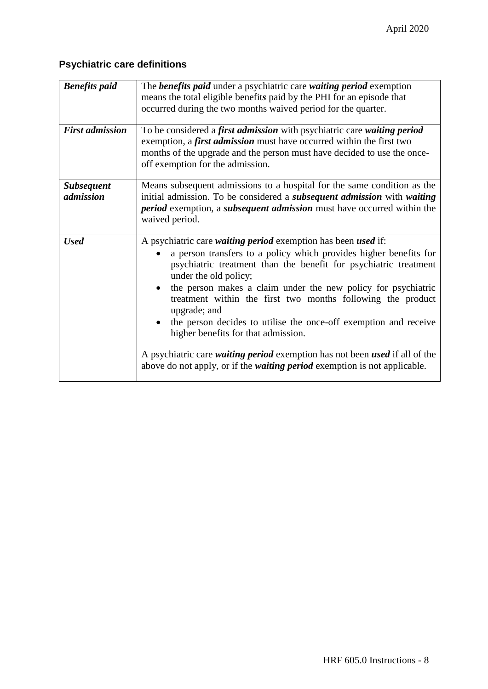# **Psychiatric care definitions**

| <b>Benefits</b> paid           | The <b>benefits paid</b> under a psychiatric care waiting period exemption<br>means the total eligible benefits paid by the PHI for an episode that<br>occurred during the two months waived period for the quarter.                                                                                                                                                                                                                                                                                                                                                                                                                                                                     |
|--------------------------------|------------------------------------------------------------------------------------------------------------------------------------------------------------------------------------------------------------------------------------------------------------------------------------------------------------------------------------------------------------------------------------------------------------------------------------------------------------------------------------------------------------------------------------------------------------------------------------------------------------------------------------------------------------------------------------------|
| <b>First admission</b>         | To be considered a first admission with psychiatric care waiting period<br>exemption, a <i>first admission</i> must have occurred within the first two<br>months of the upgrade and the person must have decided to use the once-<br>off exemption for the admission.                                                                                                                                                                                                                                                                                                                                                                                                                    |
| <b>Subsequent</b><br>admission | Means subsequent admissions to a hospital for the same condition as the<br>initial admission. To be considered a <i>subsequent admission</i> with <i>waiting</i><br><i>period</i> exemption, a <i>subsequent admission</i> must have occurred within the<br>waived period.                                                                                                                                                                                                                                                                                                                                                                                                               |
| <b>Used</b>                    | A psychiatric care waiting period exemption has been used if:<br>a person transfers to a policy which provides higher benefits for<br>psychiatric treatment than the benefit for psychiatric treatment<br>under the old policy;<br>the person makes a claim under the new policy for psychiatric<br>$\bullet$<br>treatment within the first two months following the product<br>upgrade; and<br>the person decides to utilise the once-off exemption and receive<br>higher benefits for that admission.<br>A psychiatric care <i>waiting period</i> exemption has not been <i>used</i> if all of the<br>above do not apply, or if the <i>waiting period</i> exemption is not applicable. |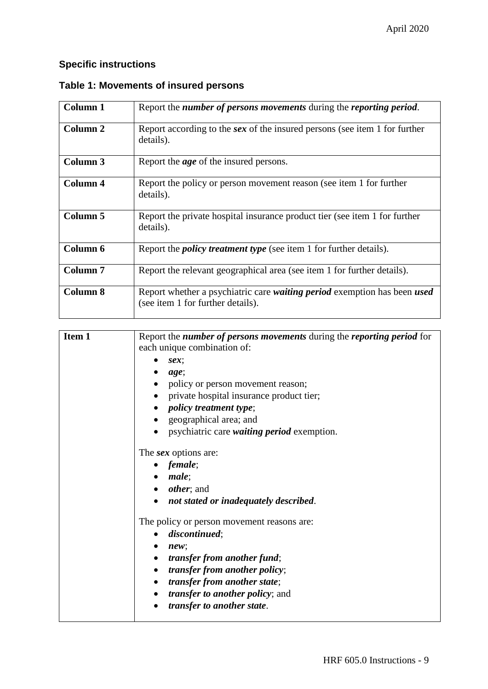## **Specific instructions**

| Column 1            | Report the <i>number of persons movements</i> during the <i>reporting period</i> .                            |
|---------------------|---------------------------------------------------------------------------------------------------------------|
| Column 2            | Report according to the sex of the insured persons (see item 1 for further<br>details).                       |
| Column 3            | Report the <i>age</i> of the insured persons.                                                                 |
| Column 4            | Report the policy or person movement reason (see item 1 for further<br>details).                              |
| Column 5            | Report the private hospital insurance product tier (see item 1 for further<br>details).                       |
| Column 6            | Report the <i>policy treatment type</i> (see item 1 for further details).                                     |
| Column <sub>7</sub> | Report the relevant geographical area (see item 1 for further details).                                       |
| <b>Column 8</b>     | Report whether a psychiatric care waiting period exemption has been used<br>(see item 1 for further details). |

### **Table 1: Movements of insured persons**

| Item 1 | Report the number of persons movements during the reporting period for<br>each unique combination of: |
|--------|-------------------------------------------------------------------------------------------------------|
|        | sex;                                                                                                  |
|        | age;                                                                                                  |
|        | policy or person movement reason;                                                                     |
|        | private hospital insurance product tier;                                                              |
|        | <i>policy treatment type</i> ;                                                                        |
|        | geographical area; and                                                                                |
|        | psychiatric care waiting period exemption.                                                            |
|        | The <i>sex</i> options are:                                                                           |
|        | female;                                                                                               |
|        | male;                                                                                                 |
|        | $\bullet$ <i>other</i> ; and                                                                          |
|        | not stated or inadequately described.                                                                 |
|        | The policy or person movement reasons are:                                                            |
|        | discontinued;                                                                                         |
|        | new;                                                                                                  |
|        | transfer from another fund;                                                                           |
|        | <i>transfer from another policy;</i><br>$\bullet$                                                     |
|        | transfer from another state;<br>$\bullet$                                                             |
|        | <i>transfer to another policy</i> ; and<br>$\bullet$                                                  |
|        | transfer to another state.                                                                            |
|        |                                                                                                       |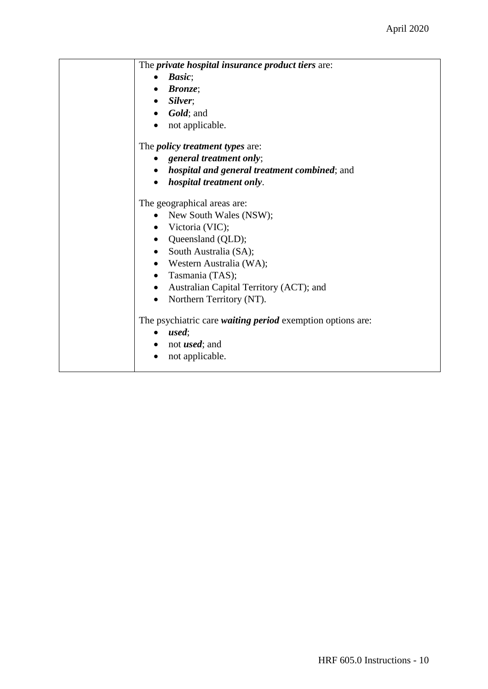| The <i>private hospital insurance product tiers</i> are:          |
|-------------------------------------------------------------------|
| Basic;                                                            |
| <b>Bronze</b> ;                                                   |
| $\bullet$ Silver;                                                 |
| $\bullet$ <i>Gold</i> ; and                                       |
| not applicable.<br>$\bullet$                                      |
| The <i>policy treatment types</i> are:                            |
| general treatment only;                                           |
| <i>hospital and general treatment combined; and</i>               |
| <i>hospital treatment only.</i>                                   |
| The geographical areas are:                                       |
| New South Wales (NSW);                                            |
| • Victoria (VIC);                                                 |
| • Queensland (QLD);                                               |
| • South Australia (SA);                                           |
| • Western Australia (WA);                                         |
| • Tasmania (TAS);                                                 |
| • Australian Capital Territory (ACT); and                         |
| Northern Territory (NT).                                          |
| The psychiatric care <i>waiting period</i> exemption options are: |
| used;<br>$\bullet$                                                |
| $\bullet$ not <i>used</i> ; and                                   |
| not applicable.                                                   |
|                                                                   |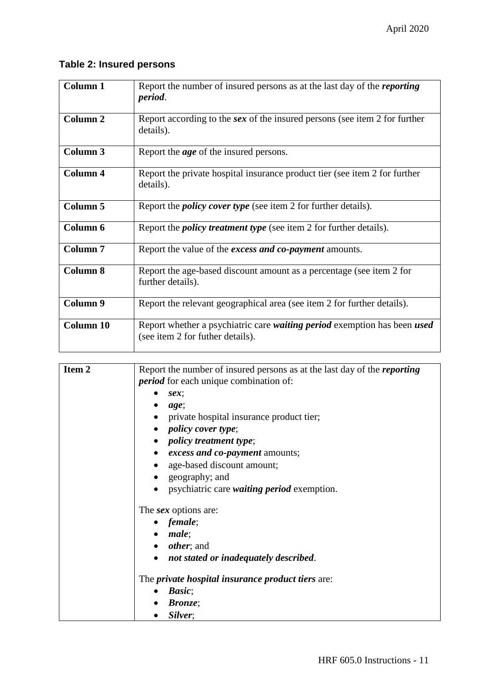## **Table 2: Insured persons**

| Column 1            | Report the number of insured persons as at the last day of the <i>reporting</i><br>period.                                 |
|---------------------|----------------------------------------------------------------------------------------------------------------------------|
| Column <sub>2</sub> | Report according to the sex of the insured persons (see item 2 for further<br>details).                                    |
| Column 3            | Report the <i>age</i> of the insured persons.                                                                              |
| <b>Column 4</b>     | Report the private hospital insurance product tier (see item 2 for further<br>details).                                    |
| Column 5            | Report the <i>policy cover type</i> (see item 2 for further details).                                                      |
| Column 6            | Report the <i>policy treatment type</i> (see item 2 for further details).                                                  |
| <b>Column 7</b>     | Report the value of the <i>excess and co-payment</i> amounts.                                                              |
| <b>Column 8</b>     | Report the age-based discount amount as a percentage (see item 2 for<br>further details).                                  |
| Column 9            | Report the relevant geographical area (see item 2 for further details).                                                    |
| <b>Column 10</b>    | Report whether a psychiatric care <i>waiting period</i> exemption has been <i>used</i><br>(see item 2 for futher details). |

| Item <sub>2</sub> | Report the number of insured persons as at the last day of the <i>reporting</i> |
|-------------------|---------------------------------------------------------------------------------|
|                   | <i>period</i> for each unique combination of:                                   |
|                   | $sex$ ;                                                                         |
|                   | age;                                                                            |
|                   | private hospital insurance product tier;                                        |
|                   | <i>policy cover type</i> ;                                                      |
|                   | • <i>policy treatment type</i> ;                                                |
|                   | <i>excess and co-payment amounts;</i>                                           |
|                   | age-based discount amount;                                                      |
|                   | geography; and                                                                  |
|                   | psychiatric care <i>waiting period</i> exemption.                               |
|                   | The <i>sex</i> options are:                                                     |
|                   | $\bullet$ female;                                                               |
|                   | $\bullet$ male;                                                                 |
|                   | $\bullet$ <i>other</i> ; and                                                    |
|                   | not stated or inadequately described.                                           |
|                   | The <i>private hospital insurance product tiers</i> are:                        |
|                   | <b>Basic</b> ;                                                                  |
|                   | <b>Bronze</b> ;                                                                 |
|                   | Silver;                                                                         |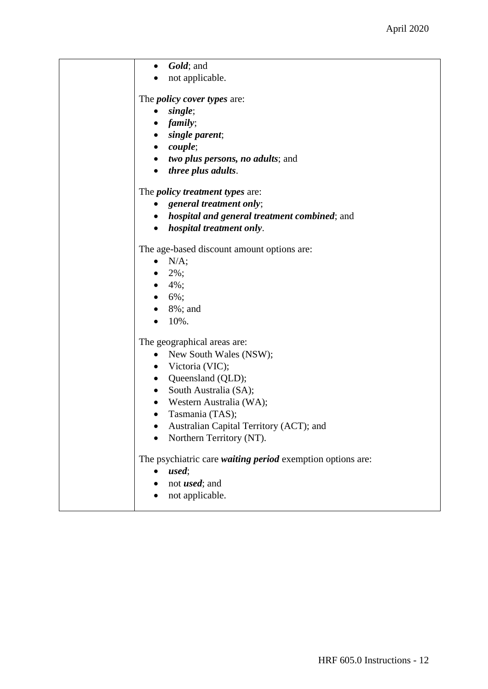| Gold; and<br>$\bullet$                                     |
|------------------------------------------------------------|
| not applicable.                                            |
|                                                            |
| The <i>policy cover types</i> are:                         |
| single;<br>$\bullet$                                       |
| <i>family</i> ;<br>$\bullet$                               |
| single parent;                                             |
| $\bullet$ couple;                                          |
| <i>two plus persons, no adults; and</i><br>٠               |
| <i>three plus adults.</i><br>$\bullet$                     |
| The <i>policy treatment types</i> are:                     |
| general treatment only;                                    |
| <i>hospital and general treatment combined; and</i>        |
| hospital treatment only.                                   |
|                                                            |
| The age-based discount amount options are:                 |
| N/A;                                                       |
| $2\%$ ;                                                    |
| • $4\%$ ;                                                  |
| $6\%$ ;<br>$\bullet$                                       |
| 8%; and                                                    |
| 10%.                                                       |
| The geographical areas are:                                |
| New South Wales (NSW);<br>$\bullet$                        |
| • Victoria (VIC);                                          |
| • Queensland (QLD);                                        |
| South Australia (SA);<br>$\bullet$                         |
| • Western Australia (WA);                                  |
| Tasmania (TAS);                                            |
| Australian Capital Territory (ACT); and                    |
| Northern Territory (NT).                                   |
| The psychiatric care waiting period exemption options are: |
| used;                                                      |
| not <i>used</i> ; and                                      |
| not applicable.                                            |
|                                                            |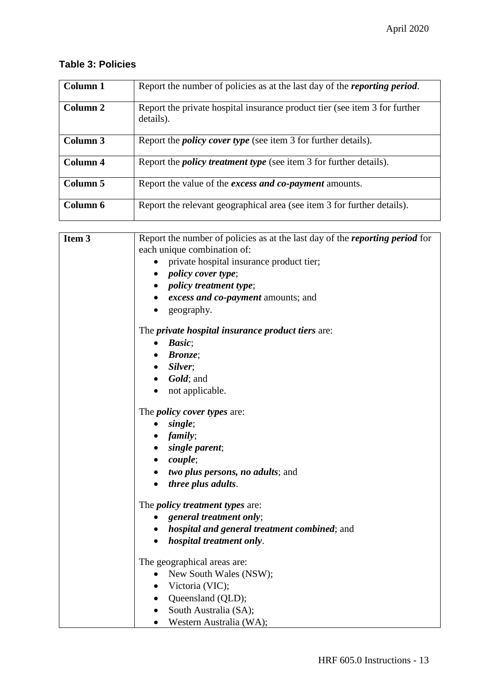## **Table 3: Policies**

| Column 1 | Report the number of policies as at the last day of the <i>reporting period</i> .       |
|----------|-----------------------------------------------------------------------------------------|
| Column 2 | Report the private hospital insurance product tier (see item 3 for further<br>details). |
| Column 3 | Report the <i>policy cover type</i> (see item 3 for further details).                   |
| Column 4 | Report the <i>policy treatment type</i> (see item 3 for further details).               |
| Column 5 | Report the value of the <i>excess and co-payment</i> amounts.                           |
| Column 6 | Report the relevant geographical area (see item 3 for further details).                 |

| Item 3 | Report the number of policies as at the last day of the <i>reporting period</i> for |
|--------|-------------------------------------------------------------------------------------|
|        | each unique combination of:                                                         |
|        | private hospital insurance product tier;                                            |
|        | • policy cover type;                                                                |
|        | • policy treatment type;                                                            |
|        | • excess and co-payment amounts; and                                                |
|        | geography.<br>$\bullet$                                                             |
|        | The <i>private hospital insurance product tiers</i> are:                            |
|        | $\bullet$ Basic;                                                                    |
|        | <b>Bronze</b> ;                                                                     |
|        | $\bullet$ Silver;                                                                   |
|        | $\bullet$ <i>Gold</i> ; and                                                         |
|        | • not applicable.                                                                   |
|        | The <i>policy cover types</i> are:                                                  |
|        | single;<br>$\bullet$                                                                |
|        | $\bullet$ family;                                                                   |
|        | • single parent;                                                                    |
|        | $\bullet$ couple;                                                                   |
|        | • two plus persons, no adults; and                                                  |
|        | <i>three plus adults.</i>                                                           |
|        | The <i>policy treatment types</i> are:                                              |
|        | general treatment only;                                                             |
|        | • hospital and general treatment combined; and                                      |
|        | hospital treatment only.<br>$\bullet$                                               |
|        | The geographical areas are:                                                         |
|        | New South Wales (NSW);<br>$\bullet$                                                 |
|        | • Victoria (VIC);                                                                   |
|        | • Queensland (QLD);                                                                 |
|        | • South Australia (SA);                                                             |
|        | • Western Australia (WA);                                                           |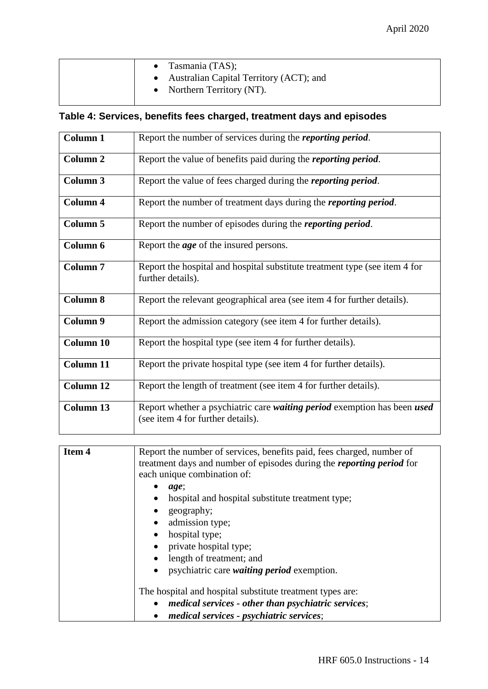|  | • Tasmania $(TAS)$ ;<br>• Australian Capital Territory (ACT); and<br>• Northern Territory $(NT)$ . |
|--|----------------------------------------------------------------------------------------------------|
|  |                                                                                                    |

## **Table 4: Services, benefits fees charged, treatment days and episodes**

| Column 1            | Report the number of services during the <i>reporting period</i> .                                            |
|---------------------|---------------------------------------------------------------------------------------------------------------|
| Column <sub>2</sub> | Report the value of benefits paid during the <i>reporting period</i> .                                        |
| Column 3            | Report the value of fees charged during the <i>reporting period</i> .                                         |
| <b>Column 4</b>     | Report the number of treatment days during the <i>reporting period</i> .                                      |
| Column 5            | Report the number of episodes during the <i>reporting period</i> .                                            |
| Column 6            | Report the <i>age</i> of the insured persons.                                                                 |
| Column <sub>7</sub> | Report the hospital and hospital substitute treatment type (see item 4 for<br>further details).               |
| <b>Column 8</b>     | Report the relevant geographical area (see item 4 for further details).                                       |
| Column 9            | Report the admission category (see item 4 for further details).                                               |
| <b>Column 10</b>    | Report the hospital type (see item 4 for further details).                                                    |
| <b>Column 11</b>    | Report the private hospital type (see item 4 for further details).                                            |
| Column 12           | Report the length of treatment (see item 4 for further details).                                              |
| Column 13           | Report whether a psychiatric care waiting period exemption has been used<br>(see item 4 for further details). |

| Item 4 | Report the number of services, benefits paid, fees charged, number of<br>treatment days and number of episodes during the <i>reporting period</i> for |
|--------|-------------------------------------------------------------------------------------------------------------------------------------------------------|
|        | each unique combination of:                                                                                                                           |
|        | age;                                                                                                                                                  |
|        | hospital and hospital substitute treatment type;                                                                                                      |
|        | geography;                                                                                                                                            |
|        | admission type;                                                                                                                                       |
|        | hospital type;                                                                                                                                        |
|        | private hospital type;                                                                                                                                |
|        | length of treatment; and                                                                                                                              |
|        | psychiatric care <i>waiting period</i> exemption.                                                                                                     |
|        | The hospital and hospital substitute treatment types are:                                                                                             |
|        | medical services - other than psychiatric services;                                                                                                   |
|        | medical services - psychiatric services;                                                                                                              |